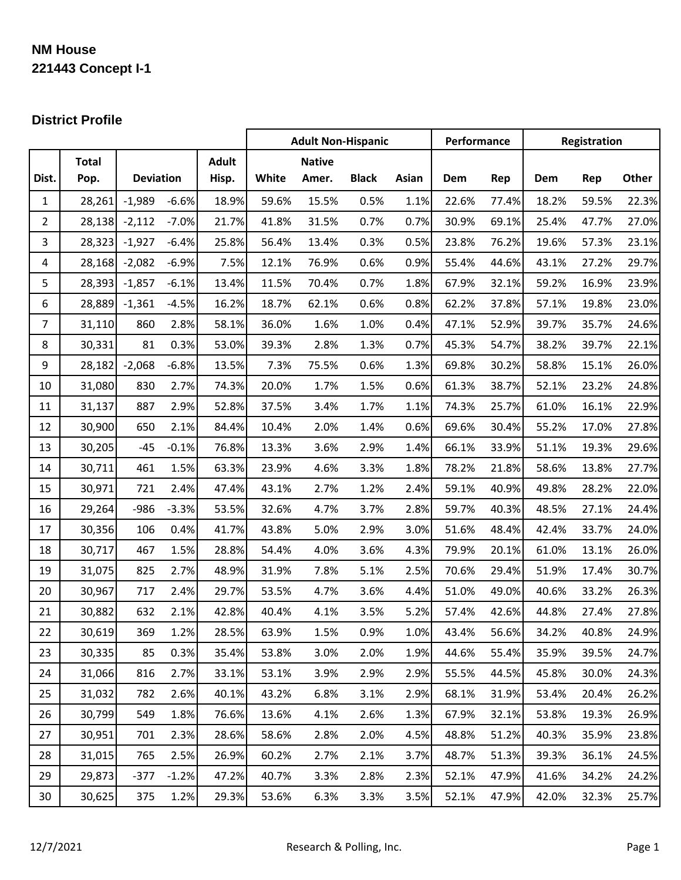# **NM House 221443 Concept I-1**

## **District Profile**

|                |              |                  |         |              | <b>Adult Non-Hispanic</b> |               |              | Performance |       | Registration |       |       |       |
|----------------|--------------|------------------|---------|--------------|---------------------------|---------------|--------------|-------------|-------|--------------|-------|-------|-------|
|                | <b>Total</b> |                  |         | <b>Adult</b> |                           | <b>Native</b> |              |             |       |              |       |       |       |
| Dist.          | Pop.         | <b>Deviation</b> |         | Hisp.        | White                     | Amer.         | <b>Black</b> | Asian       | Dem   | Rep          | Dem   | Rep   | Other |
| $\mathbf 1$    | 28,261       | $-1,989$         | $-6.6%$ | 18.9%        | 59.6%                     | 15.5%         | 0.5%         | 1.1%        | 22.6% | 77.4%        | 18.2% | 59.5% | 22.3% |
| $\overline{2}$ | 28,138       | $-2,112$         | $-7.0%$ | 21.7%        | 41.8%                     | 31.5%         | 0.7%         | 0.7%        | 30.9% | 69.1%        | 25.4% | 47.7% | 27.0% |
| 3              | 28,323       | $-1,927$         | $-6.4%$ | 25.8%        | 56.4%                     | 13.4%         | 0.3%         | 0.5%        | 23.8% | 76.2%        | 19.6% | 57.3% | 23.1% |
| 4              | 28,168       | $-2,082$         | $-6.9%$ | 7.5%         | 12.1%                     | 76.9%         | 0.6%         | 0.9%        | 55.4% | 44.6%        | 43.1% | 27.2% | 29.7% |
| 5              | 28,393       | $-1,857$         | $-6.1%$ | 13.4%        | 11.5%                     | 70.4%         | 0.7%         | 1.8%        | 67.9% | 32.1%        | 59.2% | 16.9% | 23.9% |
| 6              | 28,889       | $-1,361$         | $-4.5%$ | 16.2%        | 18.7%                     | 62.1%         | 0.6%         | 0.8%        | 62.2% | 37.8%        | 57.1% | 19.8% | 23.0% |
| $\overline{7}$ | 31,110       | 860              | 2.8%    | 58.1%        | 36.0%                     | 1.6%          | 1.0%         | 0.4%        | 47.1% | 52.9%        | 39.7% | 35.7% | 24.6% |
| $\,8\,$        | 30,331       | 81               | 0.3%    | 53.0%        | 39.3%                     | 2.8%          | 1.3%         | 0.7%        | 45.3% | 54.7%        | 38.2% | 39.7% | 22.1% |
| 9              | 28,182       | $-2,068$         | $-6.8%$ | 13.5%        | 7.3%                      | 75.5%         | 0.6%         | 1.3%        | 69.8% | 30.2%        | 58.8% | 15.1% | 26.0% |
| 10             | 31,080       | 830              | 2.7%    | 74.3%        | 20.0%                     | 1.7%          | 1.5%         | 0.6%        | 61.3% | 38.7%        | 52.1% | 23.2% | 24.8% |
| 11             | 31,137       | 887              | 2.9%    | 52.8%        | 37.5%                     | 3.4%          | 1.7%         | 1.1%        | 74.3% | 25.7%        | 61.0% | 16.1% | 22.9% |
| 12             | 30,900       | 650              | 2.1%    | 84.4%        | 10.4%                     | 2.0%          | 1.4%         | 0.6%        | 69.6% | 30.4%        | 55.2% | 17.0% | 27.8% |
| 13             | 30,205       | $-45$            | $-0.1%$ | 76.8%        | 13.3%                     | 3.6%          | 2.9%         | 1.4%        | 66.1% | 33.9%        | 51.1% | 19.3% | 29.6% |
| 14             | 30,711       | 461              | 1.5%    | 63.3%        | 23.9%                     | 4.6%          | 3.3%         | 1.8%        | 78.2% | 21.8%        | 58.6% | 13.8% | 27.7% |
| 15             | 30,971       | 721              | 2.4%    | 47.4%        | 43.1%                     | 2.7%          | 1.2%         | 2.4%        | 59.1% | 40.9%        | 49.8% | 28.2% | 22.0% |
| 16             | 29,264       | $-986$           | $-3.3%$ | 53.5%        | 32.6%                     | 4.7%          | 3.7%         | 2.8%        | 59.7% | 40.3%        | 48.5% | 27.1% | 24.4% |
| 17             | 30,356       | 106              | 0.4%    | 41.7%        | 43.8%                     | 5.0%          | 2.9%         | 3.0%        | 51.6% | 48.4%        | 42.4% | 33.7% | 24.0% |
| 18             | 30,717       | 467              | 1.5%    | 28.8%        | 54.4%                     | 4.0%          | 3.6%         | 4.3%        | 79.9% | 20.1%        | 61.0% | 13.1% | 26.0% |
| 19             | 31,075       | 825              | 2.7%    | 48.9%        | 31.9%                     | 7.8%          | 5.1%         | 2.5%        | 70.6% | 29.4%        | 51.9% | 17.4% | 30.7% |
| 20             | 30,967       | 717              | 2.4%    | 29.7%        | 53.5%                     | 4.7%          | 3.6%         | 4.4%        | 51.0% | 49.0%        | 40.6% | 33.2% | 26.3% |
| 21             | 30,882       | 632              | 2.1%    | 42.8%        | 40.4%                     | 4.1%          | 3.5%         | 5.2%        | 57.4% | 42.6%        | 44.8% | 27.4% | 27.8% |
| 22             | 30,619       | 369              | 1.2%    | 28.5%        | 63.9%                     | 1.5%          | 0.9%         | 1.0%        | 43.4% | 56.6%        | 34.2% | 40.8% | 24.9% |
| 23             | 30,335       | 85               | 0.3%    | 35.4%        | 53.8%                     | 3.0%          | 2.0%         | 1.9%        | 44.6% | 55.4%        | 35.9% | 39.5% | 24.7% |
| 24             | 31,066       | 816              | 2.7%    | 33.1%        | 53.1%                     | 3.9%          | 2.9%         | 2.9%        | 55.5% | 44.5%        | 45.8% | 30.0% | 24.3% |
| 25             | 31,032       | 782              | 2.6%    | 40.1%        | 43.2%                     | 6.8%          | 3.1%         | 2.9%        | 68.1% | 31.9%        | 53.4% | 20.4% | 26.2% |
| 26             | 30,799       | 549              | 1.8%    | 76.6%        | 13.6%                     | 4.1%          | 2.6%         | 1.3%        | 67.9% | 32.1%        | 53.8% | 19.3% | 26.9% |
| 27             | 30,951       | 701              | 2.3%    | 28.6%        | 58.6%                     | 2.8%          | 2.0%         | 4.5%        | 48.8% | 51.2%        | 40.3% | 35.9% | 23.8% |
| 28             | 31,015       | 765              | 2.5%    | 26.9%        | 60.2%                     | 2.7%          | 2.1%         | 3.7%        | 48.7% | 51.3%        | 39.3% | 36.1% | 24.5% |
| 29             | 29,873       | $-377$           | $-1.2%$ | 47.2%        | 40.7%                     | 3.3%          | 2.8%         | 2.3%        | 52.1% | 47.9%        | 41.6% | 34.2% | 24.2% |
| 30             | 30,625       | 375              | 1.2%    | 29.3%        | 53.6%                     | 6.3%          | 3.3%         | 3.5%        | 52.1% | 47.9%        | 42.0% | 32.3% | 25.7% |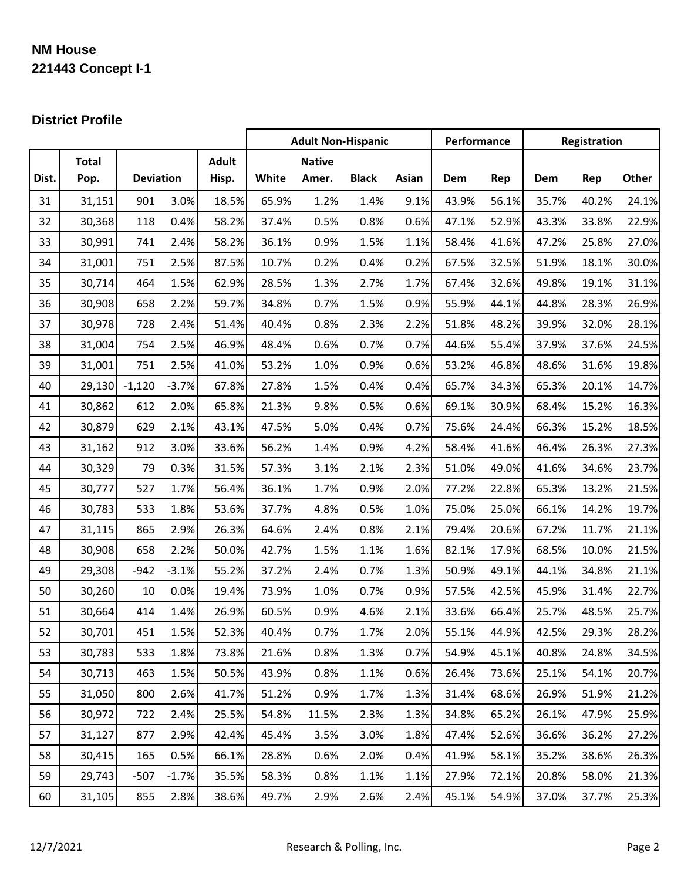# **NM House 221443 Concept I-1**

## **District Profile**

|       |              |                  |         |              | <b>Adult Non-Hispanic</b> |               |              | Performance |       | Registration |       |       |       |
|-------|--------------|------------------|---------|--------------|---------------------------|---------------|--------------|-------------|-------|--------------|-------|-------|-------|
|       | <b>Total</b> |                  |         | <b>Adult</b> |                           | <b>Native</b> |              |             |       |              |       |       |       |
| Dist. | Pop.         | <b>Deviation</b> |         | Hisp.        | White                     | Amer.         | <b>Black</b> | Asian       | Dem   | Rep          | Dem   | Rep   | Other |
| 31    | 31,151       | 901              | 3.0%    | 18.5%        | 65.9%                     | 1.2%          | 1.4%         | 9.1%        | 43.9% | 56.1%        | 35.7% | 40.2% | 24.1% |
| 32    | 30,368       | 118              | 0.4%    | 58.2%        | 37.4%                     | 0.5%          | 0.8%         | 0.6%        | 47.1% | 52.9%        | 43.3% | 33.8% | 22.9% |
| 33    | 30,991       | 741              | 2.4%    | 58.2%        | 36.1%                     | 0.9%          | 1.5%         | 1.1%        | 58.4% | 41.6%        | 47.2% | 25.8% | 27.0% |
| 34    | 31,001       | 751              | 2.5%    | 87.5%        | 10.7%                     | 0.2%          | 0.4%         | 0.2%        | 67.5% | 32.5%        | 51.9% | 18.1% | 30.0% |
| 35    | 30,714       | 464              | 1.5%    | 62.9%        | 28.5%                     | 1.3%          | 2.7%         | 1.7%        | 67.4% | 32.6%        | 49.8% | 19.1% | 31.1% |
| 36    | 30,908       | 658              | 2.2%    | 59.7%        | 34.8%                     | 0.7%          | 1.5%         | 0.9%        | 55.9% | 44.1%        | 44.8% | 28.3% | 26.9% |
| 37    | 30,978       | 728              | 2.4%    | 51.4%        | 40.4%                     | 0.8%          | 2.3%         | 2.2%        | 51.8% | 48.2%        | 39.9% | 32.0% | 28.1% |
| 38    | 31,004       | 754              | 2.5%    | 46.9%        | 48.4%                     | 0.6%          | 0.7%         | 0.7%        | 44.6% | 55.4%        | 37.9% | 37.6% | 24.5% |
| 39    | 31,001       | 751              | 2.5%    | 41.0%        | 53.2%                     | 1.0%          | 0.9%         | 0.6%        | 53.2% | 46.8%        | 48.6% | 31.6% | 19.8% |
| 40    | 29,130       | $-1,120$         | $-3.7%$ | 67.8%        | 27.8%                     | 1.5%          | 0.4%         | 0.4%        | 65.7% | 34.3%        | 65.3% | 20.1% | 14.7% |
| 41    | 30,862       | 612              | 2.0%    | 65.8%        | 21.3%                     | 9.8%          | 0.5%         | 0.6%        | 69.1% | 30.9%        | 68.4% | 15.2% | 16.3% |
| 42    | 30,879       | 629              | 2.1%    | 43.1%        | 47.5%                     | 5.0%          | 0.4%         | 0.7%        | 75.6% | 24.4%        | 66.3% | 15.2% | 18.5% |
| 43    | 31,162       | 912              | 3.0%    | 33.6%        | 56.2%                     | 1.4%          | 0.9%         | 4.2%        | 58.4% | 41.6%        | 46.4% | 26.3% | 27.3% |
| 44    | 30,329       | 79               | 0.3%    | 31.5%        | 57.3%                     | 3.1%          | 2.1%         | 2.3%        | 51.0% | 49.0%        | 41.6% | 34.6% | 23.7% |
| 45    | 30,777       | 527              | 1.7%    | 56.4%        | 36.1%                     | 1.7%          | 0.9%         | 2.0%        | 77.2% | 22.8%        | 65.3% | 13.2% | 21.5% |
| 46    | 30,783       | 533              | 1.8%    | 53.6%        | 37.7%                     | 4.8%          | 0.5%         | 1.0%        | 75.0% | 25.0%        | 66.1% | 14.2% | 19.7% |
| 47    | 31,115       | 865              | 2.9%    | 26.3%        | 64.6%                     | 2.4%          | 0.8%         | 2.1%        | 79.4% | 20.6%        | 67.2% | 11.7% | 21.1% |
| 48    | 30,908       | 658              | 2.2%    | 50.0%        | 42.7%                     | 1.5%          | 1.1%         | 1.6%        | 82.1% | 17.9%        | 68.5% | 10.0% | 21.5% |
| 49    | 29,308       | $-942$           | $-3.1%$ | 55.2%        | 37.2%                     | 2.4%          | 0.7%         | 1.3%        | 50.9% | 49.1%        | 44.1% | 34.8% | 21.1% |
| 50    | 30,260       | 10               | 0.0%    | 19.4%        | 73.9%                     | 1.0%          | 0.7%         | 0.9%        | 57.5% | 42.5%        | 45.9% | 31.4% | 22.7% |
| 51    | 30,664       | 414              | 1.4%    | 26.9%        | 60.5%                     | 0.9%          | 4.6%         | 2.1%        | 33.6% | 66.4%        | 25.7% | 48.5% | 25.7% |
| 52    | 30,701       | 451              | 1.5%    | 52.3%        | 40.4%                     | 0.7%          | 1.7%         | 2.0%        | 55.1% | 44.9%        | 42.5% | 29.3% | 28.2% |
| 53    | 30,783       | 533              | 1.8%    | 73.8%        | 21.6%                     | 0.8%          | 1.3%         | 0.7%        | 54.9% | 45.1%        | 40.8% | 24.8% | 34.5% |
| 54    | 30,713       | 463              | 1.5%    | 50.5%        | 43.9%                     | 0.8%          | 1.1%         | 0.6%        | 26.4% | 73.6%        | 25.1% | 54.1% | 20.7% |
| 55    | 31,050       | 800              | 2.6%    | 41.7%        | 51.2%                     | 0.9%          | 1.7%         | 1.3%        | 31.4% | 68.6%        | 26.9% | 51.9% | 21.2% |
| 56    | 30,972       | 722              | 2.4%    | 25.5%        | 54.8%                     | 11.5%         | 2.3%         | 1.3%        | 34.8% | 65.2%        | 26.1% | 47.9% | 25.9% |
| 57    | 31,127       | 877              | 2.9%    | 42.4%        | 45.4%                     | 3.5%          | 3.0%         | 1.8%        | 47.4% | 52.6%        | 36.6% | 36.2% | 27.2% |
| 58    | 30,415       | 165              | 0.5%    | 66.1%        | 28.8%                     | 0.6%          | 2.0%         | 0.4%        | 41.9% | 58.1%        | 35.2% | 38.6% | 26.3% |
| 59    | 29,743       | $-507$           | $-1.7%$ | 35.5%        | 58.3%                     | 0.8%          | 1.1%         | 1.1%        | 27.9% | 72.1%        | 20.8% | 58.0% | 21.3% |
| 60    | 31,105       | 855              | 2.8%    | 38.6%        | 49.7%                     | 2.9%          | 2.6%         | 2.4%        | 45.1% | 54.9%        | 37.0% | 37.7% | 25.3% |